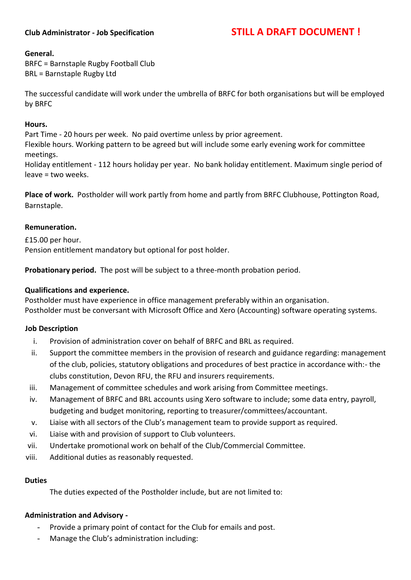### **Club Administrator - Job Specification STILL A DRAFT DOCUMENT !**

#### **General.**

BRFC = Barnstaple Rugby Football Club BRL = Barnstaple Rugby Ltd

The successful candidate will work under the umbrella of BRFC for both organisations but will be employed by BRFC

#### **Hours.**

Part Time - 20 hours per week. No paid overtime unless by prior agreement.

Flexible hours. Working pattern to be agreed but will include some early evening work for committee meetings.

Holiday entitlement - 112 hours holiday per year. No bank holiday entitlement. Maximum single period of leave = two weeks.

**Place of work.** Postholder will work partly from home and partly from BRFC Clubhouse, Pottington Road, Barnstaple.

#### **Remuneration.**

£15.00 per hour. Pension entitlement mandatory but optional for post holder.

**Probationary period.** The post will be subject to a three-month probation period.

#### **Qualifications and experience.**

Postholder must have experience in office management preferably within an organisation. Postholder must be conversant with Microsoft Office and Xero (Accounting) software operating systems.

#### **Job Description**

- i. Provision of administration cover on behalf of BRFC and BRL as required.
- ii. Support the committee members in the provision of research and guidance regarding: management of the club, policies, statutory obligations and procedures of best practice in accordance with:- the clubs constitution, Devon RFU, the RFU and insurers requirements.
- iii. Management of committee schedules and work arising from Committee meetings.
- iv. Management of BRFC and BRL accounts using Xero software to include; some data entry, payroll, budgeting and budget monitoring, reporting to treasurer/committees/accountant.
- v. Liaise with all sectors of the Club's management team to provide support as required.
- vi. Liaise with and provision of support to Club volunteers.
- vii. Undertake promotional work on behalf of the Club/Commercial Committee.
- viii. Additional duties as reasonably requested.

#### **Duties**

The duties expected of the Postholder include, but are not limited to:

#### **Administration and Advisory -**

- Provide a primary point of contact for the Club for emails and post.
- Manage the Club's administration including: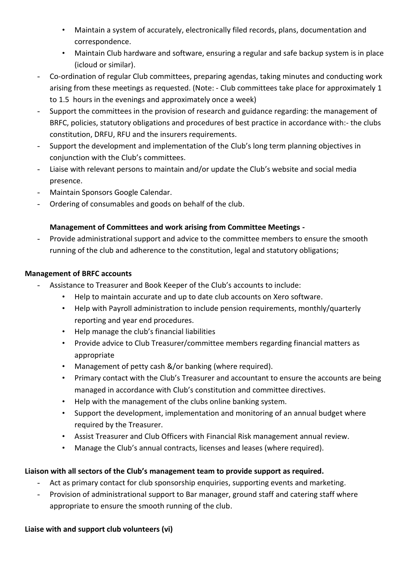- Maintain a system of accurately, electronically filed records, plans, documentation and correspondence.
- Maintain Club hardware and software, ensuring a regular and safe backup system is in place (icloud or similar).
- Co-ordination of regular Club committees, preparing agendas, taking minutes and conducting work arising from these meetings as requested. (Note: - Club committees take place for approximately 1 to 1.5 hours in the evenings and approximately once a week)
- Support the committees in the provision of research and guidance regarding: the management of BRFC, policies, statutory obligations and procedures of best practice in accordance with:- the clubs constitution, DRFU, RFU and the insurers requirements.
- Support the development and implementation of the Club's long term planning objectives in conjunction with the Club's committees.
- Liaise with relevant persons to maintain and/or update the Club's website and social media presence.
- Maintain Sponsors Google Calendar.
- Ordering of consumables and goods on behalf of the club.

# **Management of Committees and work arising from Committee Meetings -**

- Provide administrational support and advice to the committee members to ensure the smooth running of the club and adherence to the constitution, legal and statutory obligations;

# **Management of BRFC accounts**

- Assistance to Treasurer and Book Keeper of the Club's accounts to include:
	- Help to maintain accurate and up to date club accounts on Xero software.
	- Help with Payroll administration to include pension requirements, monthly/quarterly reporting and year end procedures.
	- Help manage the club's financial liabilities
	- Provide advice to Club Treasurer/committee members regarding financial matters as appropriate
	- Management of petty cash &/or banking (where required).
	- Primary contact with the Club's Treasurer and accountant to ensure the accounts are being managed in accordance with Club's constitution and committee directives.
	- Help with the management of the clubs online banking system.
	- Support the development, implementation and monitoring of an annual budget where required by the Treasurer.
	- Assist Treasurer and Club Officers with Financial Risk management annual review.
	- Manage the Club's annual contracts, licenses and leases (where required).

## **Liaison with all sectors of the Club's management team to provide support as required.**

- Act as primary contact for club sponsorship enquiries, supporting events and marketing.
- Provision of administrational support to Bar manager, ground staff and catering staff where appropriate to ensure the smooth running of the club.

## **Liaise with and support club volunteers (vi)**